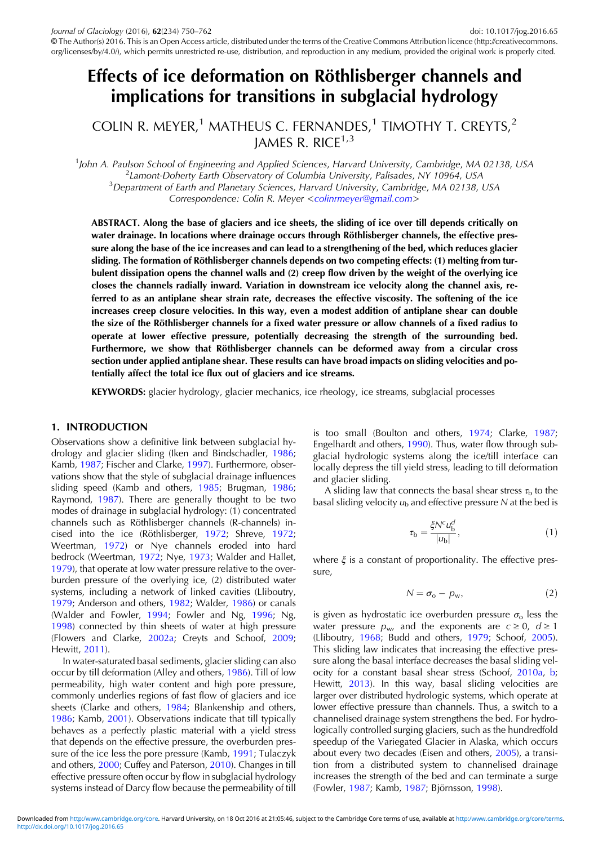# <span id="page-0-0"></span>Effects of ice deformation on Röthlisberger channels and implications for transitions in subglacial hydrology

## COLIN R. MEYER,<sup>1</sup> MATHEUS C. FERNANDES,<sup>1</sup> TIMOTHY T. CREYTS,<sup>2</sup> IAMES R. RICE $1,3$

<sup>1</sup>John A. Paulson School of Engineering and Applied Sciences, Harvard University, Cambridge, MA 02138, USA<br><sup>2</sup> Amont-Doberty Earth Observatory of Columbia University, Palisades, NY 10964, USA <sup>2</sup> Lamont-Doherty Earth Observatory of Columbia University, Palisades, NY 10964, USA  $3$ Department of Earth and Planetary Sciences, Harvard University, Cambridge, MA 02138, USA Correspondence: Colin R. Meyer <[colinrmeyer@gmail.com](mailto:colinrmeyer@gmail.com)>

ABSTRACT. Along the base of glaciers and ice sheets, the sliding of ice over till depends critically on water drainage. In locations where drainage occurs through Röthlisberger channels, the effective pressure along the base of the ice increases and can lead to a strengthening of the bed, which reduces glacier sliding. The formation of Röthlisberger channels depends on two competing effects: (1) melting from turbulent dissipation opens the channel walls and (2) creep flow driven by the weight of the overlying ice closes the channels radially inward. Variation in downstream ice velocity along the channel axis, referred to as an antiplane shear strain rate, decreases the effective viscosity. The softening of the ice increases creep closure velocities. In this way, even a modest addition of antiplane shear can double the size of the Röthlisberger channels for a fixed water pressure or allow channels of a fixed radius to operate at lower effective pressure, potentially decreasing the strength of the surrounding bed. Furthermore, we show that Röthlisberger channels can be deformed away from a circular cross section under applied antiplane shear. These results can have broad impacts on sliding velocities and potentially affect the total ice flux out of glaciers and ice streams.

**KEYWORDS:** glacier hydrology, glacier mechanics, ice rheology, ice streams, subglacial processes

## 1. INTRODUCTION

Observations show a definitive link between subglacial hydrology and glacier sliding (Iken and Bindschadler, [1986](#page-11-0); Kamb, [1987;](#page-11-0) Fischer and Clarke, [1997](#page-10-0)). Furthermore, observations show that the style of subglacial drainage influences sliding speed (Kamb and others, [1985](#page-11-0); Brugman, [1986](#page-10-0); Raymond, [1987](#page-11-0)). There are generally thought to be two modes of drainage in subglacial hydrology: (1) concentrated channels such as Röthlisberger channels (R-channels) incised into the ice (Röthlisberger, [1972](#page-11-0); Shreve, [1972](#page-12-0); Weertman, [1972](#page-12-0)) or Nye channels eroded into hard bedrock (Weertman, [1972;](#page-12-0) Nye, [1973;](#page-11-0) Walder and Hallet, [1979](#page-12-0)), that operate at low water pressure relative to the overburden pressure of the overlying ice, (2) distributed water systems, including a network of linked cavities (Lliboutry, [1979](#page-11-0); Anderson and others, [1982](#page-10-0); Walder, [1986\)](#page-12-0) or canals (Walder and Fowler, [1994](#page-12-0); Fowler and Ng, [1996;](#page-11-0) Ng, [1998](#page-11-0)) connected by thin sheets of water at high pressure (Flowers and Clarke, [2002a](#page-10-0); Creyts and Schoof, [2009](#page-10-0); Hewitt, [2011\)](#page-11-0).

In water-saturated basal sediments, glacier sliding can also occur by till deformation (Alley and others, [1986\)](#page-10-0). Till of low permeability, high water content and high pore pressure, commonly underlies regions of fast flow of glaciers and ice sheets (Clarke and others, [1984](#page-10-0); Blankenship and others, [1986](#page-10-0); Kamb, [2001](#page-11-0)). Observations indicate that till typically behaves as a perfectly plastic material with a yield stress that depends on the effective pressure, the overburden pressure of the ice less the pore pressure (Kamb, [1991;](#page-11-0) Tulaczyk and others, [2000;](#page-12-0) Cuffey and Paterson, [2010](#page-10-0)). Changes in till effective pressure often occur by flow in subglacial hydrology systems instead of Darcy flow because the permeability of till

is too small (Boulton and others, [1974](#page-10-0); Clarke, [1987;](#page-10-0) Engelhardt and others, [1990](#page-10-0)). Thus, water flow through subglacial hydrologic systems along the ice/till interface can locally depress the till yield stress, leading to till deformation and glacier sliding.

A sliding law that connects the basal shear stress  $\tau_{\rm b}$  to the basal sliding velocity  $u<sub>b</sub>$  and effective pressure N at the bed is

$$
\tau_{\rm b} = \frac{\xi N^c u_{\rm b}^d}{|u_{\rm b}|},\tag{1}
$$

where  $\xi$  is a constant of proportionality. The effective pressure,

$$
N = \sigma_{\rm o} - p_{\rm w},\tag{2}
$$

is given as hydrostatic ice overburden pressure  $\sigma$ <sub>o</sub> less the water pressure  $p_w$ , and the exponents are  $c \ge 0$ ,  $d \ge 1$ (Lliboutry, [1968](#page-11-0); Budd and others, [1979](#page-10-0); Schoof, [2005](#page-11-0)). This sliding law indicates that increasing the effective pressure along the basal interface decreases the basal sliding velocity for a constant basal shear stress (Schoof, [2010a,](#page-11-0) [b;](#page-11-0) Hewitt, [2013\)](#page-11-0). In this way, basal sliding velocities are larger over distributed hydrologic systems, which operate at lower effective pressure than channels. Thus, a switch to a channelised drainage system strengthens the bed. For hydrologically controlled surging glaciers, such as the hundredfold speedup of the Variegated Glacier in Alaska, which occurs about every two decades (Eisen and others, [2005](#page-10-0)), a transition from a distributed system to channelised drainage increases the strength of the bed and can terminate a surge (Fowler, [1987;](#page-11-0) Kamb, [1987](#page-11-0); Björnsson, [1998\)](#page-10-0).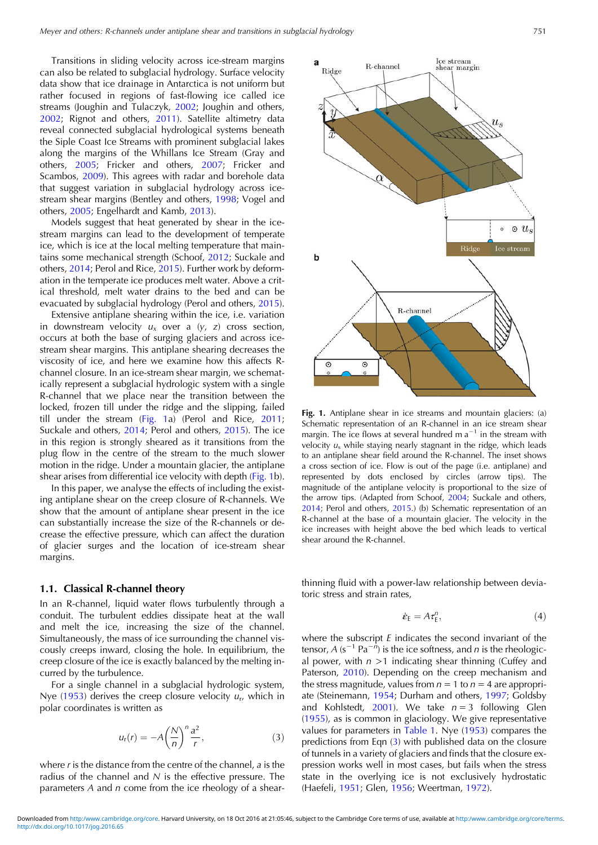<span id="page-1-0"></span>Transitions in sliding velocity across ice-stream margins can also be related to subglacial hydrology. Surface velocity data show that ice drainage in Antarctica is not uniform but rather focused in regions of fast-flowing ice called ice streams (Joughin and Tulaczyk, [2002](#page-11-0); Joughin and others, [2002;](#page-11-0) Rignot and others, [2011](#page-11-0)). Satellite altimetry data reveal connected subglacial hydrological systems beneath the Siple Coast Ice Streams with prominent subglacial lakes along the margins of the Whillans Ice Stream (Gray and others, [2005;](#page-11-0) Fricker and others, [2007;](#page-11-0) Fricker and Scambos, [2009](#page-11-0)). This agrees with radar and borehole data that suggest variation in subglacial hydrology across icestream shear margins (Bentley and others, [1998;](#page-10-0) Vogel and others, [2005;](#page-12-0) Engelhardt and Kamb, [2013](#page-10-0)).

Models suggest that heat generated by shear in the icestream margins can lead to the development of temperate ice, which is ice at the local melting temperature that maintains some mechanical strength (Schoof, [2012](#page-11-0); Suckale and others, [2014;](#page-12-0) Perol and Rice, [2015\)](#page-11-0). Further work by deformation in the temperate ice produces melt water. Above a critical threshold, melt water drains to the bed and can be evacuated by subglacial hydrology (Perol and others, [2015](#page-11-0)).

Extensive antiplane shearing within the ice, i.e. variation in downstream velocity  $u_x$  over a  $(y, z)$  cross section, occurs at both the base of surging glaciers and across icestream shear margins. This antiplane shearing decreases the viscosity of ice, and here we examine how this affects Rchannel closure. In an ice-stream shear margin, we schematically represent a subglacial hydrologic system with a single R-channel that we place near the transition between the locked, frozen till under the ridge and the slipping, failed till under the stream (Fig. 1a) (Perol and Rice, [2011;](#page-11-0) Suckale and others, [2014;](#page-12-0) Perol and others, [2015](#page-11-0)). The ice in this region is strongly sheared as it transitions from the plug flow in the centre of the stream to the much slower motion in the ridge. Under a mountain glacier, the antiplane shear arises from differential ice velocity with depth (Fig. 1b).

In this paper, we analyse the effects of including the existing antiplane shear on the creep closure of R-channels. We show that the amount of antiplane shear present in the ice can substantially increase the size of the R-channels or decrease the effective pressure, which can affect the duration of glacier surges and the location of ice-stream shear margins.

## 1.1. Classical R-channel theory

In an R-channel, liquid water flows turbulently through a conduit. The turbulent eddies dissipate heat at the wall and melt the ice, increasing the size of the channel. Simultaneously, the mass of ice surrounding the channel viscously creeps inward, closing the hole. In equilibrium, the creep closure of the ice is exactly balanced by the melting incurred by the turbulence.

For a single channel in a subglacial hydrologic system, Nye ([1953\)](#page-11-0) derives the creep closure velocity  $u_r$ , which in polar coordinates is written as

$$
u_{r}(r) = -A\left(\frac{N}{n}\right)^{n}\frac{a^{2}}{r},
$$
\n(3)

where r is the distance from the centre of the channel, a is the radius of the channel and  $N$  is the effective pressure. The parameters A and  $n$  come from the ice rheology of a shear-



thinning fluid with a power-law relationship between deviatoric stress and strain rates,

$$
\dot{\varepsilon}_{\rm E} = A \tau_{\rm E}^n,\tag{4}
$$

where the subscript  $E$  indicates the second invariant of the tensor, A (s<sup>-1</sup> Pa<sup>-n</sup>) is the ice softness, and n is the rheological power, with  $n > 1$  indicating shear thinning (Cuffey and Paterson, [2010\)](#page-10-0). Depending on the creep mechanism and the stress magnitude, values from  $n = 1$  to  $n = 4$  are appropriate (Steinemann, [1954;](#page-12-0) Durham and others, [1997;](#page-10-0) Goldsby and Kohlstedt, [2001\)](#page-11-0). We take  $n = 3$  following Glen [\(1955](#page-11-0)), as is common in glaciology. We give representative values for parameters in [Table 1.](#page-2-0) Nye [\(1953](#page-11-0)) compares the predictions from Eqn (3) with published data on the closure of tunnels in a variety of glaciers and finds that the closure expression works well in most cases, but fails when the stress state in the overlying ice is not exclusively hydrostatic (Haefeli, [1951;](#page-11-0) Glen, [1956;](#page-11-0) Weertman, [1972](#page-12-0)).

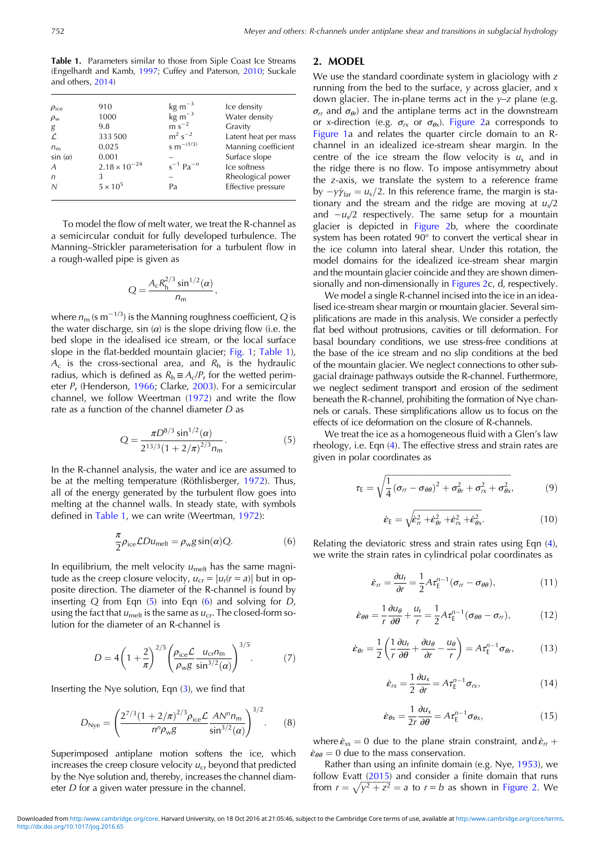<span id="page-2-0"></span>Table 1. Parameters similar to those from Siple Coast Ice Streams (Engelhardt and Kamb, [1997](#page-10-0); Cuffey and Paterson, [2010](#page-10-0); Suckale and others, [2014\)](#page-12-0)

| $\rho_{\rm ice}$ | 910                    |                                          | Ice density          |
|------------------|------------------------|------------------------------------------|----------------------|
| $\rho_{\rm w}$   | 1000                   | $\text{kg m}^{-3}$<br>kg m <sup>-3</sup> | Water density        |
| g                | 9.8                    | $m s^{-2}$                               | Gravity              |
| $\mathcal{L}$    | 333 500                | $m^2 s^{-2}$                             | Latent heat per mass |
| $n_{\rm m}$      | 0.025                  | s m <sup><math>-(1/3)</math></sup>       | Manning coefficient  |
| $sin(\alpha)$    | 0.001                  |                                          | Surface slope        |
| $\overline{A}$   | $2.18 \times 10^{-24}$ | $s^{-1}$ Pa <sup>-n</sup>                | Ice softness         |
| n                | 3                      |                                          | Rheological power    |
| N                | $5 \times 10^5$        | Pa                                       | Effective pressure   |
|                  |                        |                                          |                      |

To model the flow of melt water, we treat the R-channel as a semicircular conduit for fully developed turbulence. The Manning–Strickler parameterisation for a turbulent flow in a rough-walled pipe is given as

$$
Q = \frac{A_c R_h^{2/3} \sin^{1/2}(\alpha)}{n_m}
$$

where  $n_m$  (s m<sup>-1/3</sup>) is the Manning roughness coefficient, Q is the water discharge, sin  $(\alpha)$  is the slope driving flow (i.e. the bed slope in the idealised ice stream, or the local surface slope in the flat-bedded mountain glacier; [Fig. 1](#page-1-0); Table 1),  $A_c$  is the cross-sectional area, and  $R_h$  is the hydraulic radius, which is defined as  $R_h \equiv A_c/P_r$  for the wetted perimeter  $P_r$  (Henderson, [1966;](#page-11-0) Clarke, [2003\)](#page-10-0). For a semicircular channel, we follow Weertman [\(1972](#page-12-0)) and write the flow rate as a function of the channel diameter D as

$$
Q = \frac{\pi D^{8/3} \sin^{1/2}(\alpha)}{2^{13/3} (1 + 2/\pi)^{2/3} n_m}.
$$
 (5)

;

In the R-channel analysis, the water and ice are assumed to be at the melting temperature (Röthlisberger, [1972\)](#page-11-0). Thus, all of the energy generated by the turbulent flow goes into melting at the channel walls. In steady state, with symbols defined in Table 1, we can write (Weertman, [1972](#page-12-0)):

$$
\frac{\pi}{2}\rho_{\text{ice}}\mathcal{L}Du_{\text{melt}} = \rho_{\text{w}}g\sin(\alpha)Q. \tag{6}
$$

In equilibrium, the melt velocity  $u_{\text{melt}}$  has the same magnitude as the creep closure velocity,  $u_{cr} = |u_r(r = a)|$  but in opposite direction. The diameter of the R-channel is found by inserting  $Q$  from Eqn  $(5)$  into Eqn  $(6)$  and solving for  $D$ , using the fact that  $u_{\text{melt}}$  is the same as  $u_{\text{cr}}$ . The closed-form solution for the diameter of an R-channel is

$$
D = 4\left(1 + \frac{2}{\pi}\right)^{2/5} \left(\frac{\rho_{\text{ice}}\mathcal{L}}{\rho_{\text{w}}g} \frac{u_{\text{cr}}n_{\text{m}}}{\sin^{3/2}(\alpha)}\right)^{3/5}.
$$
 (7)

Inserting the Nye solution, Eqn  $(3)$  $(3)$ , we find that

$$
D_{\text{Nye}} = \left(\frac{2^{7/3} (1 + 2/\pi)^{2/3} \rho_{\text{ice}} \mathcal{L}}{n^n \rho_w g} \frac{A N^n n_m}{\sin^{3/2}(\alpha)}\right)^{3/2}.
$$
 (8)

Superimposed antiplane motion softens the ice, which increases the creep closure velocity  $u_{cr}$  beyond that predicted by the Nye solution and, thereby, increases the channel diameter *D* for a given water pressure in the channel.

#### 2. MODEL

We use the standard coordinate system in glaciology with z running from the bed to the surface,  $y$  across glacier, and  $x$ down glacier. The in-plane terms act in the  $y-z$  plane (e.g.  $\sigma_{rr}$  and  $\sigma_{\theta r}$ ) and the antiplane terms act in the downstream or x-direction (e.g.  $\sigma_{rx}$  or  $\sigma_{\theta x}$ ). [Figure 2](#page-3-0)a corresponds to [Figure 1a](#page-1-0) and relates the quarter circle domain to an Rchannel in an idealized ice-stream shear margin. In the centre of the ice stream the flow velocity is  $u_s$  and in the ridge there is no flow. To impose antisymmetry about the z-axis, we translate the system to a reference frame by  $-y\dot{\gamma}_{\text{far}} = u_s/2$ . In this reference frame, the margin is stationary and the stream and the ridge are moving at  $u_s/2$ and  $-u_s/2$  respectively. The same setup for a mountain glacier is depicted in [Figure 2b](#page-3-0), where the coordinate system has been rotated  $90^\circ$  to convert the vertical shear in the ice column into lateral shear. Under this rotation, the model domains for the idealized ice-stream shear margin and the mountain glacier coincide and they are shown dimen-sionally and non-dimensionally in [Figures 2c](#page-3-0), d, respectively.

We model a single R-channel incised into the ice in an idealised ice-stream shear margin or mountain glacier. Several simplifications are made in this analysis. We consider a perfectly flat bed without protrusions, cavities or till deformation. For basal boundary conditions, we use stress-free conditions at the base of the ice stream and no slip conditions at the bed of the mountain glacier. We neglect connections to other subgacial drainage pathways outside the R-channel. Furthermore, we neglect sediment transport and erosion of the sediment beneath the R-channel, prohibiting the formation of Nye channels or canals. These simplifications allow us to focus on the effects of ice deformation on the closure of R-channels.

We treat the ice as a homogeneous fluid with a Glen's law rheology, i.e. Eqn [\(4](#page-1-0)). The effective stress and strain rates are given in polar coordinates as

$$
\tau_{\rm E} = \sqrt{\frac{1}{4}(\sigma_{rr} - \sigma_{\theta\theta})^2 + \sigma_{\theta r}^2 + \sigma_{rx}^2 + \sigma_{\theta x}^2},
$$
(9)

$$
\dot{\varepsilon}_{\rm E} = \sqrt{\dot{\varepsilon}_{rr}^2 + \dot{\varepsilon}_{\theta r}^2 + \dot{\varepsilon}_{rx}^2 + \dot{\varepsilon}_{\theta x}^2}.
$$
 (10)

Relating the deviatoric stress and strain rates using Eqn [\(4](#page-1-0)), we write the strain rates in cylindrical polar coordinates as

$$
\dot{\boldsymbol{\varepsilon}}_{rr} = \frac{\partial \boldsymbol{u}_r}{\partial r} = \frac{1}{2} A \tau_E^{n-1} (\boldsymbol{\sigma}_{rr} - \boldsymbol{\sigma}_{\theta\theta}), \qquad (11)
$$

$$
\dot{\varepsilon}_{\theta\theta} = \frac{1}{r} \frac{\partial u_{\theta}}{\partial \theta} + \frac{u_r}{r} = \frac{1}{2} A \tau_{E}^{n-1} (\sigma_{\theta\theta} - \sigma_{rr}), \qquad (12)
$$

$$
\dot{\varepsilon}_{\theta r} = \frac{1}{2} \left( \frac{1}{r} \frac{\partial u_r}{\partial \theta} + \frac{\partial u_\theta}{\partial r} - \frac{u_\theta}{r} \right) = A \tau_E^{n-1} \sigma_{\theta r}, \tag{13}
$$

$$
\dot{\boldsymbol{\varepsilon}}_{rx} = \frac{1}{2} \frac{\partial u_x}{\partial r} = A \tau_E^{n-1} \sigma_{rx}, \qquad (14)
$$

$$
\dot{\varepsilon}_{\theta x} = \frac{1}{2r} \frac{\partial u_x}{\partial \theta} = A \tau_{E}^{n-1} \sigma_{\theta x}, \qquad (15)
$$

where  $\dot{\epsilon}_{xx} = 0$  due to the plane strain constraint, and  $\dot{\epsilon}_{rr}$  +  $\dot{\varepsilon}_{\theta\theta} = 0$  due to the mass conservation.

Rather than using an infinite domain (e.g. Nye, [1953\)](#page-11-0), we follow Evatt ([2015\)](#page-10-0) and consider a finite domain that runs from  $r = \sqrt{y^2 + z^2} = a$  to  $r = b$  as shown in [Figure 2.](#page-3-0) We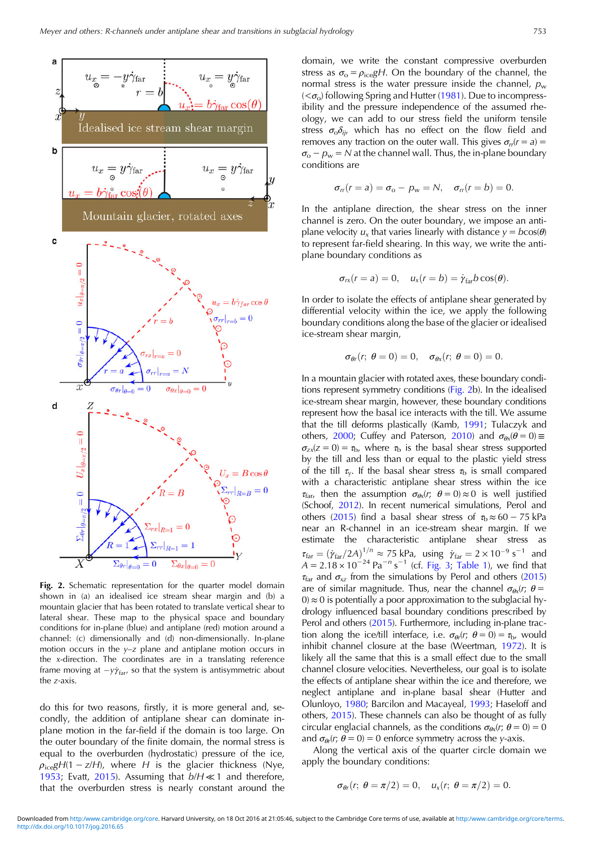<span id="page-3-0"></span>

Fig. 2. Schematic representation for the quarter model domain shown in (a) an idealised ice stream shear margin and (b) a mountain glacier that has been rotated to translate vertical shear to lateral shear. These map to the physical space and boundary conditions for in-plane (blue) and antiplane (red) motion around a channel: (c) dimensionally and (d) non-dimensionally. In-plane motion occurs in the y–z plane and antiplane motion occurs in the x-direction. The coordinates are in a translating reference frame moving at  $-y\gamma_{\text{far}}$ , so that the system is antisymmetric about the z-axis.

do this for two reasons, firstly, it is more general and, secondly, the addition of antiplane shear can dominate inplane motion in the far-field if the domain is too large. On the outer boundary of the finite domain, the normal stress is equal to the overburden (hydrostatic) pressure of the ice,  $\rho_{\text{ice}} g H(1 - z/H)$ , where H is the glacier thickness (Nye, [1953](#page-11-0); Evatt, [2015\)](#page-10-0). Assuming that  $b/H \ll 1$  and therefore, that the overburden stress is nearly constant around the

domain, we write the constant compressive overburden stress as  $\sigma_{0} = \rho_{\text{ice}} gH$ . On the boundary of the channel, the normal stress is the water pressure inside the channel,  $p_w$  $( $\sigma$ <sub>o</sub>) following Spring and Hutter (1981). Due to incompress ( $\sigma$ <sub>o</sub>) following Spring and Hutter (1981). Due to incompress ( $\sigma$ <sub>o</sub>) following Spring and Hutter (1981). Due to incompress$ ibility and the pressure independence of the assumed rheology, we can add to our stress field the uniform tensile stress  $\sigma_{0}\delta_{ii}$ , which has no effect on the flow field and removes any traction on the outer wall. This gives  $\sigma_{rr}(r = a)$  =  $\sigma_{\rm o} - p_{\rm w} = N$  at the channel wall. Thus, the in-plane boundary conditions are

$$
\sigma_{rr}(r=a)=\sigma_{o}-p_{w}=N, \quad \sigma_{rr}(r=b)=0.
$$

In the antiplane direction, the shear stress on the inner channel is zero. On the outer boundary, we impose an antiplane velocity  $u_x$  that varies linearly with distance  $y = b\cos(\theta)$ to represent far-field shearing. In this way, we write the antiplane boundary conditions as

$$
\sigma_{rx}(r = a) = 0
$$
,  $u_x(r = b) = \dot{\gamma}_{far}b\cos(\theta)$ .

In order to isolate the effects of antiplane shear generated by differential velocity within the ice, we apply the following boundary conditions along the base of the glacier or idealised ice-stream shear margin,

$$
\sigma_{\theta r}(r; \theta = 0) = 0, \quad \sigma_{\theta x}(r; \theta = 0) = 0.
$$

In a mountain glacier with rotated axes, these boundary conditions represent symmetry conditions (Fig. 2b). In the idealised ice-stream shear margin, however, these boundary conditions represent how the basal ice interacts with the till. We assume that the till deforms plastically (Kamb, [1991](#page-11-0); Tulaczyk and others, [2000;](#page-12-0) Cuffey and Paterson, [2010\)](#page-10-0) and  $\sigma_{\theta}(\theta = 0) \equiv$  $\sigma_{zx}(z=0) = \tau_{\rm b}$ , where  $\tau_{\rm b}$  is the basal shear stress supported by the till and less than or equal to the plastic yield stress of the till  $\tau_{y}$ . If the basal shear stress  $\tau_{b}$  is small compared with a characteristic antiplane shear stress within the ice  $\tau_{\text{far}}$ , then the assumption  $\sigma_{\theta x}(r; \theta = 0) \approx 0$  is well justified (Schoof, [2012\)](#page-11-0). In recent numerical simulations, Perol and others ([2015](#page-11-0)) find a basal shear stress of  $\tau_{\rm b} \approx 60 - 75$  kPa near an R-channel in an ice-stream shear margin. If we estimate the characteristic antiplane shear stress as  $\tau_{\text{far}} = (\dot{\gamma}_{\text{far}}/2A)^{1/n}_{24} \approx 75 \text{ kPa}$ , using  $\dot{\gamma}_{\text{far}} = 2 \times 10^{-9} \text{ s}^{-1}$  and  $A = 2.18 \times 10^{-24}$  Pa<sup>-n</sup> s<sup>-1</sup> (cf. [Fig. 3](#page-5-0); [Table 1\)](#page-2-0), we find that  $\tau_{\text{far}}$  and  $\sigma_{\text{xz}}$  from the simulations by Perol and others [\(2015\)](#page-11-0) are of similar magnitude. Thus, near the channel  $\sigma_{\alpha}(r; \theta)$  =  $0 \approx 0$  is potentially a poor approximation to the subglacial hydrology influenced basal boundary conditions prescribed by Perol and others [\(2015\)](#page-11-0). Furthermore, including in-plane traction along the ice/till interface, i.e.  $\sigma_{\theta r}(r; \theta = 0) = \tau_{\text{b}}$ , would inhibit channel closure at the base (Weertman, [1972\)](#page-12-0). It is likely all the same that this is a small effect due to the small channel closure velocities. Nevertheless, our goal is to isolate the effects of antiplane shear within the ice and therefore, we neglect antiplane and in-plane basal shear (Hutter and Olunloyo, [1980](#page-11-0); Barcilon and Macayeal, [1993](#page-10-0); Haseloff and others, [2015](#page-11-0)). These channels can also be thought of as fully circular englacial channels, as the conditions  $\sigma_{\theta x}$ (r;  $\theta = 0$ ) = 0 and  $\sigma_{\theta r}(r; \theta = 0) = 0$  enforce symmetry across the y-axis.

Along the vertical axis of the quarter circle domain we apply the boundary conditions:

$$
\sigma_{\theta r}(r; \theta = \pi/2) = 0, \quad u_x(r; \theta = \pi/2) = 0.
$$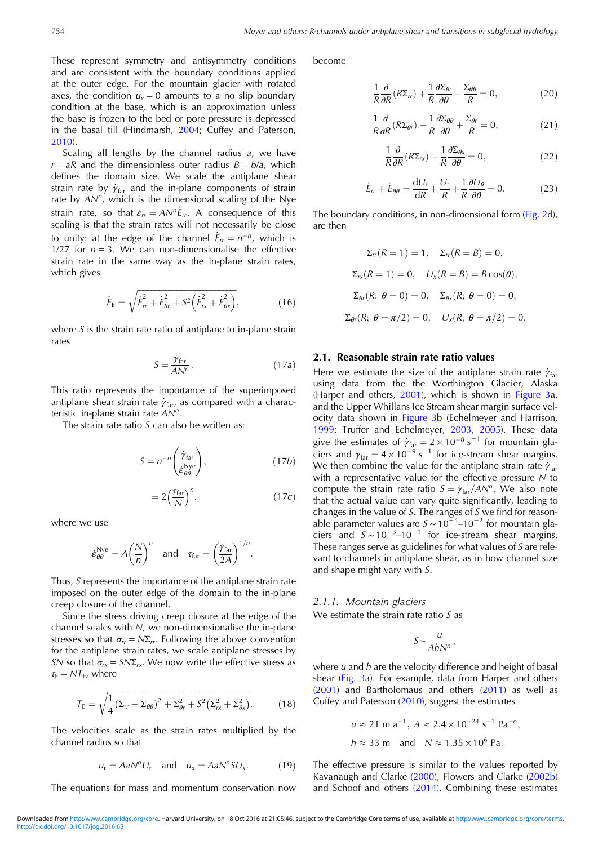<span id="page-4-0"></span>These represent symmetry and antisymmetry conditions and are consistent with the boundary conditions applied at the outer edge. For the mountain glacier with rotated axes, the condition  $u_x = 0$  amounts to a no slip boundary condition at the base, which is an approximation unless the base is frozen to the bed or pore pressure is depressed in the basal till (Hindmarsh, [2004;](#page-11-0) Cuffey and Paterson, [2010](#page-10-0)).

Scaling all lengths by the channel radius a, we have  $r = aR$  and the dimensionless outer radius  $B = b/a$ , which defines the domain size. We scale the antiplane shear strain rate by  $\dot{\gamma}_{\text{far}}$  and the in-plane components of strain rate by  $AN^n$ , which is the dimensional scaling of the Nye strain rate, so that  $\dot{\epsilon}_r = A N^r \dot{E}_r$ . A consequence of this scaling is that the strain rates will not necessarily be close to unity: at the edge of the channel  $E_n = n^{-n}$ , which is 1/27 for  $n = 3$ . We can non-dimensionalise the effective strain rate in the same way as the in-plane strain rates, which gives

$$
\dot{E}_{E} = \sqrt{\dot{E}_{rr}^{2} + \dot{E}_{\theta r}^{2} + S^{2}(\dot{E}_{rx}^{2} + \dot{E}_{\theta x}^{2})},
$$
(16)

where S is the strain rate ratio of antiplane to in-plane strain rates

$$
S = \frac{\dot{\gamma}_{\text{far}}}{A N^n}.
$$
 (17a)

This ratio represents the importance of the superimposed antiplane shear strain rate  $\dot{\gamma}_{\text{far}}$  as compared with a characteristic in-plane strain rate  $AN^n$ .

The strain rate ratio  $S$  can also be written as:

$$
S = n^{-n} \left( \frac{\dot{\gamma}_{\text{far}}}{\dot{\epsilon}_{\theta\theta}^{\text{Nye}}} \right),\tag{17b}
$$

$$
=2\left(\frac{\tau_{\text{far}}}{N}\right)^n,\tag{17c}
$$

where we use

$$
\dot{\varepsilon}_{\theta\theta}^{\text{Nye}} = A \bigg(\frac{N}{n}\bigg)^n \quad \text{and} \quad \tau_{\text{far}} = \bigg(\frac{\dot{\gamma}_{\text{far}}}{2A}\bigg)^{1/n}.
$$

Thus, S represents the importance of the antiplane strain rate imposed on the outer edge of the domain to the in-plane creep closure of the channel.

Since the stress driving creep closure at the edge of the channel scales with N, we non-dimensionalise the in-plane stresses so that  $\sigma_{rr} = N \Sigma_{rr}$ . Following the above convention for the antiplane strain rates, we scale antiplane stresses by SN so that  $\sigma_{rx} = SN\Sigma_{rx}$ . We now write the effective stress as  $\tau_{\rm E} = NT_{\rm E}$ , where

$$
\mathcal{T}_{\rm E} = \sqrt{\frac{1}{4} \left( \Sigma_{rr} - \Sigma_{\theta\theta} \right)^2 + \Sigma_{\theta r}^2 + S^2 \left( \Sigma_{rx}^2 + \Sigma_{\theta x}^2 \right)}. \tag{18}
$$

The velocities scale as the strain rates multiplied by the channel radius so that

$$
u_{r} = A a N^{n} U_{r} \quad \text{and} \quad u_{x} = A a N^{n} S U_{x}.
$$
 (19)

The equations for mass and momentum conservation now

become

$$
\frac{1}{R}\frac{\partial}{\partial R}(R\Sigma_{rr}) + \frac{1}{R}\frac{\partial \Sigma_{\theta r}}{\partial \theta} - \frac{\Sigma_{\theta \theta}}{R} = 0, \tag{20}
$$

$$
\frac{1}{R}\frac{\partial}{\partial R}(R\Sigma_{\theta r}) + \frac{1}{R}\frac{\partial \Sigma_{\theta \theta}}{\partial \theta} + \frac{\Sigma_{\theta r}}{R} = 0, \tag{21}
$$

$$
\frac{1}{R}\frac{\partial}{\partial R}(R\Sigma_{rx}) + \frac{1}{R}\frac{\partial \Sigma_{\theta x}}{\partial \theta} = 0, \tag{22}
$$

$$
\dot{E}_{rr} + \dot{E}_{\theta\theta} = \frac{\mathrm{d}U_{\mathrm{r}}}{\mathrm{d}R} + \frac{U_{\mathrm{r}}}{R} + \frac{1}{R}\frac{\partial U_{\theta}}{\partial \theta} = 0. \tag{23}
$$

The boundary conditions, in non-dimensional form ([Fig. 2](#page-3-0)d), are then

$$
\Sigma_{rr}(R=1) = 1, \quad \Sigma_{rr}(R=B) = 0,
$$
  

$$
\Sigma_{rx}(R=1) = 0, \quad U_x(R=B) = B\cos(\theta),
$$
  

$$
\Sigma_{\theta r}(R; \theta=0) = 0, \quad \Sigma_{\theta x}(R; \theta=0) = 0,
$$
  

$$
\Sigma_{\theta r}(R; \theta = \pi/2) = 0, \quad U_x(R; \theta = \pi/2) = 0.
$$

## 2.1. Reasonable strain rate ratio values

Here we estimate the size of the antiplane strain rate  $\dot{\gamma}_{\text{far}}$ using data from the the Worthington Glacier, Alaska (Harper and others, [2001\)](#page-11-0), which is shown in [Figure 3](#page-5-0)a, and the Upper Whillans Ice Stream shear margin surface velocity data shown in [Figure 3](#page-5-0)b (Echelmeyer and Harrison, [1999;](#page-10-0) Truffer and Echelmeyer, [2003,](#page-12-0) [2005\)](#page-12-0). These data give the estimates of  $\dot{\gamma}_{far} = 2 \times 10^{-8} \text{ s}^{-1}$  for mountain glaciers and  $\gamma_{\text{far}} = 4 \times 10^{-9} \text{ s}^{-1}$  for ice-stream shear margins. We then combine the value for the antiplane strain rate  $\gamma_{\text{far}}$ with a representative value for the effective pressure  $N$  to compute the strain rate ratio  $S = \dot{\gamma}_{\text{far}}/AN^n$ . We also note that the actual value can vary quite significantly, leading to changes in the value of S. The ranges of S we find for reasonable parameter values are  $S \sim 10^{-4}$ –10<sup>-2</sup> for mountain glaciers and  $S \sim 10^{-3} - 10^{-1}$  for ice-stream shear margins. These ranges serve as guidelines for what values of S are relevant to channels in antiplane shear, as in how channel size and shape might vary with S.

2.1.1. Mountain glaciers

We estimate the strain rate ratio  $S$  as

$$
S \sim \frac{u}{AhN^n},
$$

where  $u$  and  $h$  are the velocity difference and height of basal shear ([Fig. 3a](#page-5-0)). For example, data from Harper and others [\(2001](#page-11-0)) and Bartholomaus and others ([2011\)](#page-10-0) as well as Cuffey and Paterson [\(2010](#page-10-0)), suggest the estimates

$$
u \approx 21 \text{ m a}^{-1}
$$
,  $A \approx 2.4 \times 10^{-24} \text{ s}^{-1} \text{ Pa}^{-n}$ ,  
 $h \approx 33 \text{ m}$  and  $N \approx 1.35 \times 10^6 \text{ Pa}$ .

The effective pressure is similar to the values reported by Kavanaugh and Clarke [\(2000](#page-11-0)), Flowers and Clarke ([2002b\)](#page-10-0) and Schoof and others ([2014\)](#page-12-0). Combining these estimates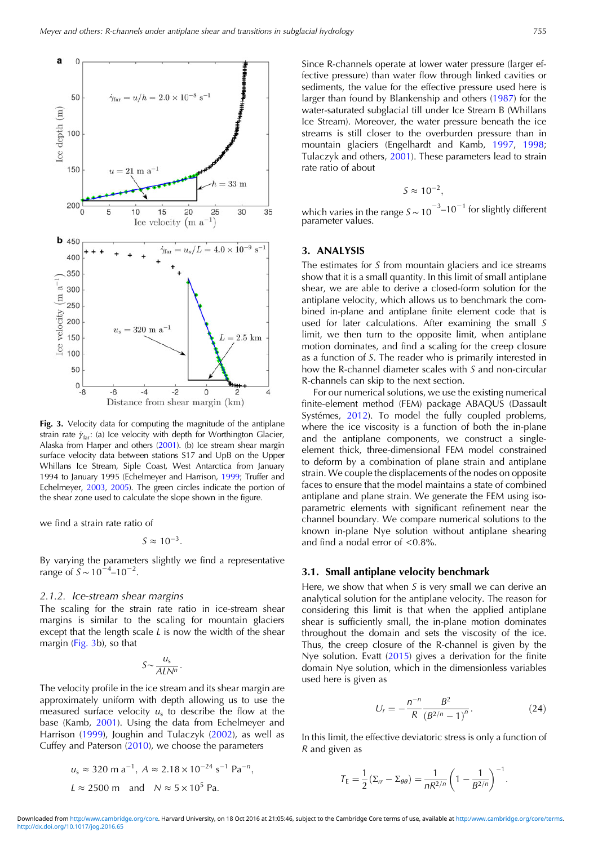<span id="page-5-0"></span>

Fig. 3. Velocity data for computing the magnitude of the antiplane strain rate  $\gamma_{\text{far}}$ : (a) Ice velocity with depth for Worthington Glacier, Alaska from Harper and others ([2001](#page-11-0)). (b) Ice stream shear margin surface velocity data between stations S17 and UpB on the Upper Whillans Ice Stream, Siple Coast, West Antarctica from January 1994 to January 1995 (Echelmeyer and Harrison, [1999;](#page-10-0) Truffer and Echelmeyer, [2003,](#page-12-0) [2005](#page-12-0)). The green circles indicate the portion of the shear zone used to calculate the slope shown in the figure.

we find a strain rate ratio of

$$
S\approx 10^{-3}.
$$

By varying the parameters slightly we find a representative range of  $5 \sim 10^{-4}$  – 10<sup>-2</sup>.

#### 2.1.2. Ice-stream shear margins

The scaling for the strain rate ratio in ice-stream shear margins is similar to the scaling for mountain glaciers except that the length scale  $L$  is now the width of the shear margin (Fig. 3b), so that

$$
S \sim \frac{u_s}{ALN^n}.
$$

The velocity profile in the ice stream and its shear margin are approximately uniform with depth allowing us to use the measured surface velocity  $u_s$  to describe the flow at the base (Kamb, [2001\)](#page-11-0). Using the data from Echelmeyer and Harrison ([1999\)](#page-10-0), Joughin and Tulaczyk [\(2002](#page-11-0)), as well as Cuffey and Paterson ([2010\)](#page-10-0), we choose the parameters

$$
u_s \approx 320 \text{ m a}^{-1}
$$
,  $A \approx 2.18 \times 10^{-24} \text{ s}^{-1} \text{ Pa}^{-n}$ ,  
 $L \approx 2500 \text{ m}$  and  $N \approx 5 \times 10^5 \text{ Pa}$ .

Since R-channels operate at lower water pressure (larger effective pressure) than water flow through linked cavities or sediments, the value for the effective pressure used here is larger than found by Blankenship and others ([1987](#page-10-0)) for the water-saturated subglacial till under Ice Stream B (Whillans Ice Stream). Moreover, the water pressure beneath the ice streams is still closer to the overburden pressure than in mountain glaciers (Engelhardt and Kamb, [1997](#page-10-0), [1998;](#page-10-0) Tulaczyk and others, [2001](#page-12-0)). These parameters lead to strain rate ratio of about

$$
S\approx 10^{-2},
$$

which varies in the range  $S \sim 10^{-3}$ –10<sup>-1</sup> for slightly different parameter values.

#### 3. ANALYSIS

The estimates for S from mountain glaciers and ice streams show that it is a small quantity. In this limit of small antiplane shear, we are able to derive a closed-form solution for the antiplane velocity, which allows us to benchmark the combined in-plane and antiplane finite element code that is used for later calculations. After examining the small S limit, we then turn to the opposite limit, when antiplane motion dominates, and find a scaling for the creep closure as a function of S. The reader who is primarily interested in how the R-channel diameter scales with S and non-circular R-channels can skip to the next section.

For our numerical solutions, we use the existing numerical finite-element method (FEM) package ABAQUS (Dassault Systémes, [2012](#page-10-0)). To model the fully coupled problems, where the ice viscosity is a function of both the in-plane and the antiplane components, we construct a singleelement thick, three-dimensional FEM model constrained to deform by a combination of plane strain and antiplane strain. We couple the displacements of the nodes on opposite faces to ensure that the model maintains a state of combined antiplane and plane strain. We generate the FEM using isoparametric elements with significant refinement near the channel boundary. We compare numerical solutions to the known in-plane Nye solution without antiplane shearing and find a nodal error of <0.8%.

#### 3.1. Small antiplane velocity benchmark

Here, we show that when  $S$  is very small we can derive an analytical solution for the antiplane velocity. The reason for considering this limit is that when the applied antiplane shear is sufficiently small, the in-plane motion dominates throughout the domain and sets the viscosity of the ice. Thus, the creep closure of the R-channel is given by the Nye solution. Evatt [\(2015](#page-10-0)) gives a derivation for the finite domain Nye solution, which in the dimensionless variables used here is given as

$$
U_r = -\frac{n^{-n}}{R} \frac{B^2}{\left(B^{2/n} - 1\right)^n}.
$$
 (24)

:

In this limit, the effective deviatoric stress is only a function of R and given as

$$
T_{\rm E} = \frac{1}{2} \left( \Sigma_{rr} - \Sigma_{\theta\theta} \right) = \frac{1}{nR^{2/n}} \left( 1 - \frac{1}{B^{2/n}} \right)^{-1}
$$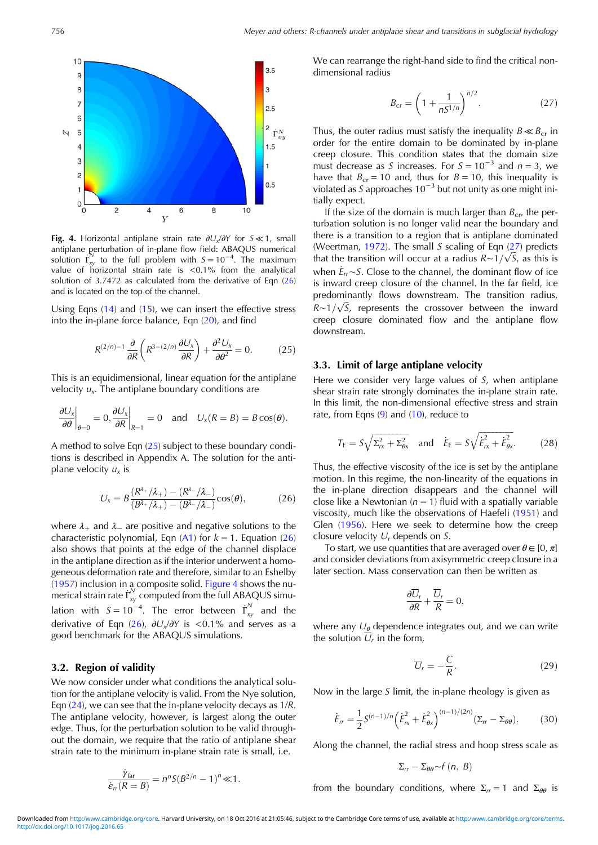<span id="page-6-0"></span>

Fig. 4. Horizontal antiplane strain rate  $\partial U_x/\partial Y$  for  $S \ll 1$ , small antiplane perturbation of in-plane flow field: ABAQUS numerical solution  $\overrightarrow{\Gamma}_{xy}^{N}$  to the full problem with  $S = 10^{-4}$ . The maximum value of horizontal strain rate is <0.1% from the analytical solution of 3.7472 as calculated from the derivative of Eqn [\(26](#page-5-0)) and is located on the top of the channel.

Using Eqns  $(14)$  and  $(15)$ , we can insert the effective stress into the in-plane force balance, Eqn ([20](#page-4-0)), and find

$$
R^{(2/n)-1} \frac{\partial}{\partial R} \left( R^{3-(2/n)} \frac{\partial U_x}{\partial R} \right) + \frac{\partial^2 U_x}{\partial \theta^2} = 0. \tag{25}
$$

This is an equidimensional, linear equation for the antiplane velocity  $u_x$ . The antiplane boundary conditions are

$$
\left. \frac{\partial U_x}{\partial \theta} \right|_{\theta=0} = 0, \left. \frac{\partial U_x}{\partial R} \right|_{R=1} = 0 \quad \text{and} \quad U_x(R=B) = B \cos(\theta).
$$

A method to solve Eqn ([25](#page-4-0)) subject to these boundary conditions is described in Appendix A. The solution for the antiplane velocity  $u_x$  is

$$
U_x = B \frac{(R^{\lambda_+}/\lambda_+)-(R^{\lambda_-}/\lambda_-)}{(B^{\lambda_+}/\lambda_+)-(B^{\lambda_-}/\lambda_-)} \cos(\theta),
$$
 (26)

where  $\lambda_+$  and  $\lambda_-$  are positive and negative solutions to the characteristic polynomial, Eqn  $(A1)$  for  $k = 1$ . Equation ([26](#page-5-0)) also shows that points at the edge of the channel displace in the antiplane direction as if the interior underwent a homogeneous deformation rate and therefore, similar to an Eshelby ([1957\)](#page-10-0) inclusion in a composite solid. Figure 4 shows the numerical strain rate  $\dot{\Gamma}_{xy}^{N}$  computed from the full ABAQUS simulation with  $S = 10^{-4}$ . The error between  $\dot{\Gamma}_{xy}^{N}$  and the derivative of Eqn ([26](#page-5-0)),  $\partial U_x/\partial Y$  is <0.1% and serves as a good benchmark for the ABAQUS simulations.

## 3.2. Region of validity

We now consider under what conditions the analytical solution for the antiplane velocity is valid. From the Nye solution, Eqn [\(24\)](#page-4-0), we can see that the in-plane velocity decays as 1/R. The antiplane velocity, however, is largest along the outer edge. Thus, for the perturbation solution to be valid throughout the domain, we require that the ratio of antiplane shear strain rate to the minimum in-plane strain rate is small, i.e.

$$
\frac{\dot{\gamma}_{\text{far}}}{\dot{\varepsilon}_n(R=B)} = n^n S(B^{2/n} - 1)^n \ll 1.
$$

We can rearrange the right-hand side to find the critical nondimensional radius

$$
B_{\rm cr} = \left(1 + \frac{1}{nS^{1/n}}\right)^{n/2}.\tag{27}
$$

Thus, the outer radius must satisfy the inequality  $B \ll B_{cr}$  in order for the entire domain to be dominated by in-plane creep closure. This condition states that the domain size must decrease as S increases. For  $S = 10^{-3}$  and  $n = 3$ , we have that  $B_{cr} = 10$  and, thus for  $B = 10$ , this inequality is violated as S approaches  $10^{-3}$  but not unity as one might initially expect.

If the size of the domain is much larger than  $B_{\text{cr}}$ , the perturbation solution is no longer valid near the boundary and there is a transition to a region that is antiplane dominated (Weertman, [1972\)](#page-12-0). The small  $S$  scaling of Eqn  $(27)$  predicts that the transition will occur at a radius  $R \sim 1/\sqrt{5}$ , as this is when  $\dot{E}_r \sim S$ . Close to the channel, the dominant flow of ice is inward creep closure of the channel. In the far field, ice predominantly flows downstream. The transition radius,  $R \sim 1/\sqrt{5}$ , represents the crossover between the inward creep closure dominated flow and the antiplane flow downstream.

#### 3.3. Limit of large antiplane velocity

Here we consider very large values of S, when antiplane shear strain rate strongly dominates the in-plane strain rate. In this limit, the non-dimensional effective stress and strain rate, from Eqns  $(9)$  and  $(10)$  $(10)$  $(10)$ , reduce to

$$
T_{\rm E} = S\sqrt{\Sigma_{rx}^2 + \Sigma_{\theta x}^2} \quad \text{and} \quad \dot{E}_{\rm E} = S\sqrt{\dot{E}_{rx}^2 + \dot{E}_{\theta x}^2}.\tag{28}
$$

Thus, the effective viscosity of the ice is set by the antiplane motion. In this regime, the non-linearity of the equations in the in-plane direction disappears and the channel will close like a Newtonian ( $n = 1$ ) fluid with a spatially variable viscosity, much like the observations of Haefeli [\(1951](#page-11-0)) and Glen [\(1956](#page-11-0)). Here we seek to determine how the creep closure velocity  $U_r$  depends on S.

To start, we use quantities that are averaged over  $\theta \in [0, \pi]$ and consider deviations from axisymmetric creep closure in a later section. Mass conservation can then be written as

$$
\frac{\partial \overline{U}_r}{\partial R} + \frac{\overline{U}_r}{R} = 0,
$$

where any  $U_{\theta}$  dependence integrates out, and we can write the solution  $\overline{U}_r$  in the form,

$$
\overline{U}_r = -\frac{C}{R}.\tag{29}
$$

Now in the large S limit, the in-plane rheology is given as

$$
\dot{E}_r = \frac{1}{2} S^{(n-1)/n} \left( \dot{E}_{rx}^2 + \dot{E}_{\theta x}^2 \right)^{(n-1)/(2n)} (\Sigma_r - \Sigma_{\theta \theta}). \tag{30}
$$

Along the channel, the radial stress and hoop stress scale as

$$
\Sigma_{rr}-\Sigma_{\theta\theta}\!\sim\!f(n,\;B)
$$

from the boundary conditions, where  $\Sigma_{rr} = 1$  and  $\Sigma_{\theta\theta}$  is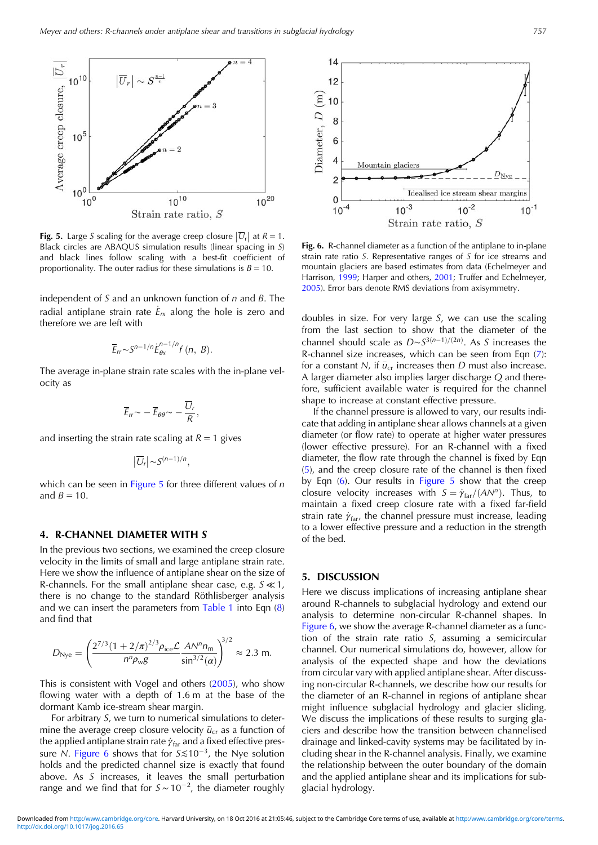<span id="page-7-0"></span>

**Fig. 5.** Large *S* scaling for the average creep closure  $|\overline{U_r}|$  at  $R = 1$ . Black circles are ABAQUS simulation results (linear spacing in S) and black lines follow scaling with a best-fit coefficient of proportionality. The outer radius for these simulations is  $B = 10$ .

independent of S and an unknown function of  $n$  and  $B$ . The radial antiplane strain rate  $\dot{E}_{rx}$  along the hole is zero and therefore we are left with

$$
\overline{E}_{rr} \sim S^{n-1/n} \dot{E}_{\theta x}^{n-1/n} f(n, B).
$$

The average in-plane strain rate scales with the in-plane velocity as

$$
\overline{E}_{rr} \sim -\overline{E}_{\theta\theta} \sim -\frac{\overline{U}_r}{R},
$$

and inserting the strain rate scaling at  $R = 1$  gives

$$
\left|\overline{U}_r\right| \sim S^{(n-1)/n},
$$

which can be seen in Figure 5 for three different values of  $n$ and  $B = 10$ .

## 4. R-CHANNEL DIAMETER WITH S

In the previous two sections, we examined the creep closure velocity in the limits of small and large antiplane strain rate. Here we show the influence of antiplane shear on the size of R-channels. For the small antiplane shear case, e.g.  $S \ll 1$ , there is no change to the standard Röthlisberger analysis and we can insert the parameters from [Table 1](#page-2-0) into Eqn  $(8)$  $(8)$ and find that

$$
D_{\text{Nye}} = \left(\frac{2^{7/3} (1 + 2/\pi)^{2/3} \rho_{\text{ice}} \mathcal{L}}{n^n \rho_{\text{w}} g} \frac{A N^n n_{\text{m}}}{\sin^{3/2}(\alpha)}\right)^{3/2} \approx 2.3 \text{ m}.
$$

This is consistent with Vogel and others [\(2005](#page-12-0)), who show flowing water with a depth of 1.6 m at the base of the dormant Kamb ice-stream shear margin.

For arbitrary S, we turn to numerical simulations to determine the average creep closure velocity  $\bar{u}_{\rm cr}$  as a function of the applied antiplane strain rate  $\dot{\gamma}_{\text{far}}$  and a fixed effective pressure N. Figure 6 shows that for  $5 \le 10^{-3}$ , the Nye solution holds and the predicted channel size is exactly that found above. As S increases, it leaves the small perturbation range and we find that for  $S \sim 10^{-2}$ , the diameter roughly



Fig. 6. R-channel diameter as a function of the antiplane to in-plane strain rate ratio S. Representative ranges of S for ice streams and mountain glaciers are based estimates from data (Echelmeyer and Harrison, [1999;](#page-10-0) Harper and others, [2001](#page-11-0); Truffer and Echelmeyer, [2005](#page-12-0)). Error bars denote RMS deviations from axisymmetry.

doubles in size. For very large S, we can use the scaling from the last section to show that the diameter of the channel should scale as  $D \sim S^{3(n-1)/(2n)}$ . As S increases the R-channel size increases, which can be seen from Eqn ([7](#page-2-0)): for a constant  $N$ , if  $\bar{u}_{cr}$  increases then  $D$  must also increase. A larger diameter also implies larger discharge Q and therefore, sufficient available water is required for the channel shape to increase at constant effective pressure.

If the channel pressure is allowed to vary, our results indicate that adding in antiplane shear allows channels at a given diameter (or flow rate) to operate at higher water pressures (lower effective pressure). For an R-channel with a fixed diameter, the flow rate through the channel is fixed by Eqn [\(5](#page-2-0)), and the creep closure rate of the channel is then fixed by Eqn [\(6](#page-2-0)). Our results in Figure 5 show that the creep closure velocity increases with  $S = \dot{\gamma}_{\text{far}}/(AN^n)$ . Thus, to maintain a fixed creep closure rate with a fixed far-field strain rate  $\dot{\gamma}_{\text{far}}$ , the channel pressure must increase, leading to a lower effective pressure and a reduction in the strength of the bed.

## 5. DISCUSSION

Here we discuss implications of increasing antiplane shear around R-channels to subglacial hydrology and extend our analysis to determine non-circular R-channel shapes. In Figure 6, we show the average R-channel diameter as a function of the strain rate ratio  $S$ , assuming a semicircular channel. Our numerical simulations do, however, allow for analysis of the expected shape and how the deviations from circular vary with applied antiplane shear. After discussing non-circular R-channels, we describe how our results for the diameter of an R-channel in regions of antiplane shear might influence subglacial hydrology and glacier sliding. We discuss the implications of these results to surging glaciers and describe how the transition between channelised drainage and linked-cavity systems may be facilitated by including shear in the R-channel analysis. Finally, we examine the relationship between the outer boundary of the domain and the applied antiplane shear and its implications for subglacial hydrology.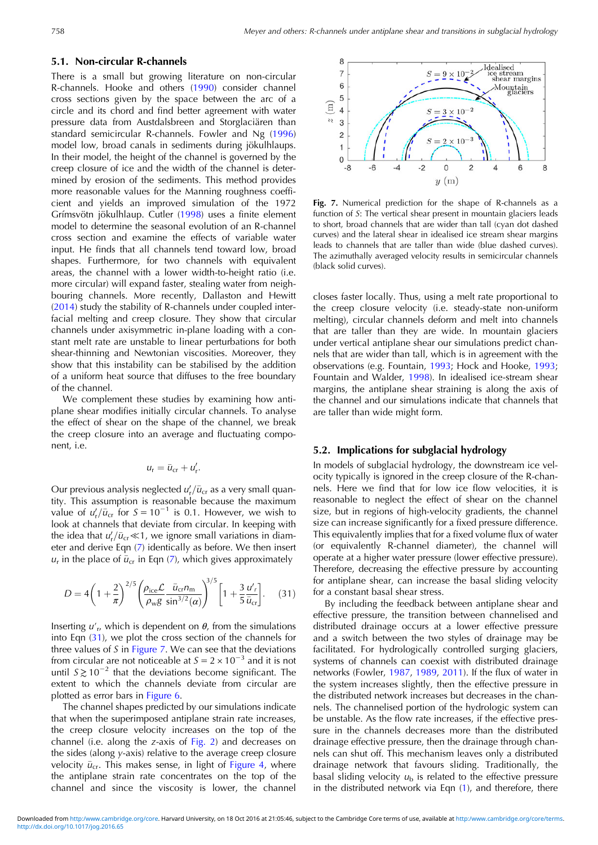## 5.1. Non-circular R-channels

There is a small but growing literature on non-circular R-channels. Hooke and others [\(1990](#page-11-0)) consider channel cross sections given by the space between the arc of a circle and its chord and find better agreement with water pressure data from Austdalsbreen and Storglaciären than standard semicircular R-channels. Fowler and Ng [\(1996](#page-11-0)) model low, broad canals in sediments during jökulhlaups. In their model, the height of the channel is governed by the creep closure of ice and the width of the channel is determined by erosion of the sediments. This method provides more reasonable values for the Manning roughness coefficient and yields an improved simulation of the 1972 Grímsvötn jökulhlaup. Cutler [\(1998](#page-10-0)) uses a finite element model to determine the seasonal evolution of an R-channel cross section and examine the effects of variable water input. He finds that all channels tend toward low, broad shapes. Furthermore, for two channels with equivalent areas, the channel with a lower width-to-height ratio (i.e. more circular) will expand faster, stealing water from neighbouring channels. More recently, Dallaston and Hewitt ([2014\)](#page-10-0) study the stability of R-channels under coupled interfacial melting and creep closure. They show that circular channels under axisymmetric in-plane loading with a constant melt rate are unstable to linear perturbations for both shear-thinning and Newtonian viscosities. Moreover, they show that this instability can be stabilised by the addition of a uniform heat source that diffuses to the free boundary of the channel.

We complement these studies by examining how antiplane shear modifies initially circular channels. To analyse the effect of shear on the shape of the channel, we break the creep closure into an average and fluctuating component, i.e.

$$
u_{\rm r}=\bar{u}_{\rm cr}+u_{\rm r}'.
$$

Our previous analysis neglected  $u'_r/\bar{u}_{cr}$  as a very small quantity. This assumption is reasonable because the maximum value of  $u'_r/\bar{u}_{cr}$  for  $S = 10^{-1}$  is 0.1. However, we wish to look at channels that deviate from circular. In keeping with the idea that  $u_{\rm r}'/\bar{u}_{\rm cr}$   $\ll$  1, we ignore small variations in diameter and derive Eqn [\(7](#page-2-0)) identically as before. We then insert  $u_r$  in the place of  $\bar{u}_{cr}$  in Eqn ([7\)](#page-2-0), which gives approximately

$$
D = 4\left(1 + \frac{2}{\pi}\right)^{2/5} \left(\frac{\rho_{\text{ice}}\mathcal{L}}{\rho_{\text{w}}g} \frac{\bar{u}_{\text{cr}}n_{\text{m}}}{\sin^{3/2}(\alpha)}\right)^{3/5} \left[1 + \frac{3}{5} \frac{u'r}{\bar{u}_{\text{cr}}}\right].
$$
 (31)

Inserting  $u'_r$ , which is dependent on  $\theta$ , from the simulations into Eqn [\(31\)](#page-6-0), we plot the cross section of the channels for three values of  $S$  in Figure  $7$ . We can see that the deviations from circular are not noticeable at  $S = 2 \times 10^{-3}$  and it is not until  $S \ge 10^{-2}$  that the deviations become significant. The extent to which the channels deviate from circular are plotted as error bars in [Figure 6](#page-7-0).

The channel shapes predicted by our simulations indicate that when the superimposed antiplane strain rate increases, the creep closure velocity increases on the top of the channel (i.e. along the z-axis of [Fig. 2](#page-3-0)) and decreases on the sides (along y-axis) relative to the average creep closure velocity  $\bar{u}_{cr}$ . This makes sense, in light of [Figure 4](#page-6-0), where the antiplane strain rate concentrates on the top of the channel and since the viscosity is lower, the channel



Fig. 7. Numerical prediction for the shape of R-channels as a function of S: The vertical shear present in mountain glaciers leads to short, broad channels that are wider than tall (cyan dot dashed curves) and the lateral shear in idealised ice stream shear margins leads to channels that are taller than wide (blue dashed curves). The azimuthally averaged velocity results in semicircular channels (black solid curves).

closes faster locally. Thus, using a melt rate proportional to the creep closure velocity (i.e. steady-state non-uniform melting), circular channels deform and melt into channels that are taller than they are wide. In mountain glaciers under vertical antiplane shear our simulations predict channels that are wider than tall, which is in agreement with the observations (e.g. Fountain, [1993](#page-11-0); Hock and Hooke, [1993](#page-11-0); Fountain and Walder, [1998\)](#page-11-0). In idealised ice-stream shear margins, the antiplane shear straining is along the axis of the channel and our simulations indicate that channels that are taller than wide might form.

#### 5.2. Implications for subglacial hydrology

In models of subglacial hydrology, the downstream ice velocity typically is ignored in the creep closure of the R-channels. Here we find that for low ice flow velocities, it is reasonable to neglect the effect of shear on the channel size, but in regions of high-velocity gradients, the channel size can increase significantly for a fixed pressure difference. This equivalently implies that for a fixed volume flux of water (or equivalently R-channel diameter), the channel will operate at a higher water pressure (lower effective pressure). Therefore, decreasing the effective pressure by accounting for antiplane shear, can increase the basal sliding velocity for a constant basal shear stress.

By including the feedback between antiplane shear and effective pressure, the transition between channelised and distributed drainage occurs at a lower effective pressure and a switch between the two styles of drainage may be facilitated. For hydrologically controlled surging glaciers, systems of channels can coexist with distributed drainage networks (Fowler, [1987](#page-11-0), [1989,](#page-11-0) [2011](#page-11-0)). If the flux of water in the system increases slightly, then the effective pressure in the distributed network increases but decreases in the channels. The channelised portion of the hydrologic system can be unstable. As the flow rate increases, if the effective pressure in the channels decreases more than the distributed drainage effective pressure, then the drainage through channels can shut off. This mechanism leaves only a distributed drainage network that favours sliding. Traditionally, the basal sliding velocity  $u<sub>b</sub>$  is related to the effective pressure in the distributed network via Eqn ([1](#page-0-0)), and therefore, there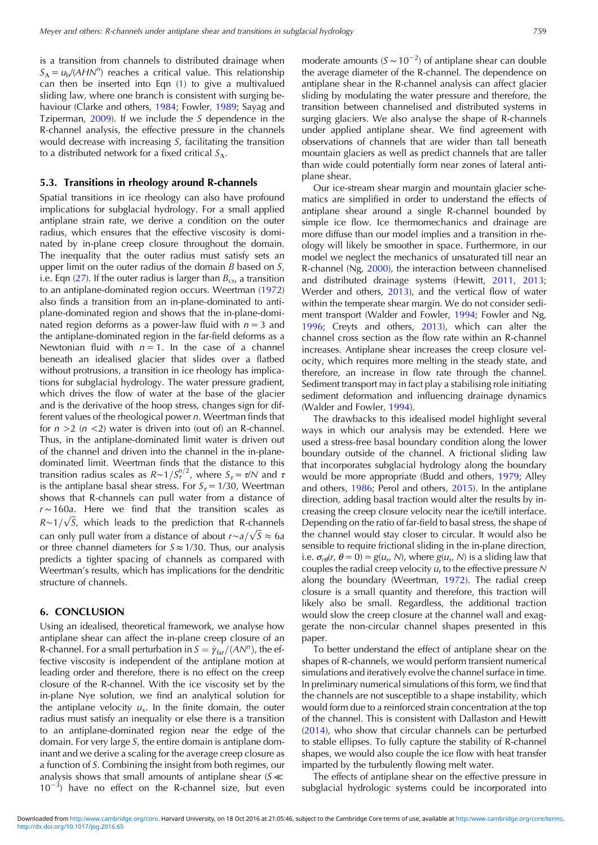is a transition from channels to distributed drainage when  $S_A = u_b/(AHN^n)$  reaches a critical value. This relationship can then be inserted into Eqn ([1](#page-0-0)) to give a multivalued sliding law, where one branch is consistent with surging be-haviour (Clarke and others, [1984](#page-10-0); Fowler, [1989;](#page-11-0) Sayag and Tziperman,  $2009$ ). If we include the S dependence in the R-channel analysis, the effective pressure in the channels would decrease with increasing S, facilitating the transition to a distributed network for a fixed critical  $S_{\Lambda}$ .

## 5.3. Transitions in rheology around R-channels

Spatial transitions in ice rheology can also have profound implications for subglacial hydrology. For a small applied antiplane strain rate, we derive a condition on the outer radius, which ensures that the effective viscosity is dominated by in-plane creep closure throughout the domain. The inequality that the outer radius must satisfy sets an upper limit on the outer radius of the domain  $B$  based on  $S$ , i.e. Eqn [\(27\)](#page-6-0). If the outer radius is larger than  $B_{cr}$ , a transition to an antiplane-dominated region occurs. Weertman ([1972\)](#page-12-0) also finds a transition from an in-plane-dominated to antiplane-dominated region and shows that the in-plane-dominated region deforms as a power-law fluid with  $n = 3$  and the antiplane-dominated region in the far-field deforms as a Newtonian fluid with  $n = 1$ . In the case of a channel beneath an idealised glacier that slides over a flatbed without protrusions, a transition in ice rheology has implications for subglacial hydrology. The water pressure gradient, which drives the flow of water at the base of the glacier and is the derivative of the hoop stress, changes sign for different values of the rheological power n. Weertman finds that for  $n > 2$  ( $n < 2$ ) water is driven into (out of) an R-channel. Thus, in the antiplane-dominated limit water is driven out of the channel and driven into the channel in the in-planedominated limit. Weertman finds that the distance to this transition radius scales as  $R \sim 1/S_r^{n/2}$ , where  $S_\tau = \tau/N$  and  $\tau$ is the antiplane basal shear stress. For  $S_{\tau} = 1/30$ , Weertman shows that R-channels can pull water from a distance of r ~ 160a. Here we find that the transition scales as  $R \sim 1/\sqrt{S}$ , which leads to the prediction that R-channels can only pull water from a distance of about  $r \sim a/\sqrt{5} \approx 6a$ or three channel diameters for  $S \approx 1/30$ . Thus, our analysis predicts a tighter spacing of channels as compared with Weertman's results, which has implications for the dendritic structure of channels.

## 6. CONCLUSION

Using an idealised, theoretical framework, we analyse how antiplane shear can affect the in-plane creep closure of an R-channel. For a small perturbation in  $S = \dot{\gamma}_{\text{far}}/(AN^n)$ , the effective viscosity is independent of the antiplane motion at leading order and therefore, there is no effect on the creep closure of the R-channel. With the ice viscosity set by the in-plane Nye solution, we find an analytical solution for the antiplane velocity  $u_x$ . In the finite domain, the outer radius must satisfy an inequality or else there is a transition to an antiplane-dominated region near the edge of the domain. For very large S, the entire domain is antiplane dominant and we derive a scaling for the average creep closure as a function of S. Combining the insight from both regimes, our analysis shows that small amounts of antiplane shear ( $S \ll$  $10^{-3}$ ) have no effect on the R-channel size, but even

moderate amounts ( $S \sim 10^{-2}$ ) of antiplane shear can double the average diameter of the R-channel. The dependence on antiplane shear in the R-channel analysis can affect glacier sliding by modulating the water pressure and therefore, the transition between channelised and distributed systems in surging glaciers. We also analyse the shape of R-channels under applied antiplane shear. We find agreement with observations of channels that are wider than tall beneath mountain glaciers as well as predict channels that are taller than wide could potentially form near zones of lateral antiplane shear.

Our ice-stream shear margin and mountain glacier schematics are simplified in order to understand the effects of antiplane shear around a single R-channel bounded by simple ice flow. Ice thermomechanics and drainage are more diffuse than our model implies and a transition in rheology will likely be smoother in space. Furthermore, in our model we neglect the mechanics of unsaturated till near an R-channel (Ng, [2000\)](#page-11-0), the interaction between channelised and distributed drainage systems (Hewitt, [2011](#page-11-0), [2013;](#page-11-0) Werder and others, [2013](#page-12-0)), and the vertical flow of water within the temperate shear margin. We do not consider sediment transport (Walder and Fowler, [1994](#page-12-0); Fowler and Ng, [1996;](#page-11-0) Creyts and others, [2013\)](#page-10-0), which can alter the channel cross section as the flow rate within an R-channel increases. Antiplane shear increases the creep closure velocity, which requires more melting in the steady state, and therefore, an increase in flow rate through the channel. Sediment transport may in fact play a stabilising role initiating sediment deformation and influencing drainage dynamics (Walder and Fowler, [1994](#page-12-0)).

The drawbacks to this idealised model highlight several ways in which our analysis may be extended. Here we used a stress-free basal boundary condition along the lower boundary outside of the channel. A frictional sliding law that incorporates subglacial hydrology along the boundary would be more appropriate (Budd and others, [1979;](#page-10-0) Alley and others, [1986;](#page-10-0) Perol and others, [2015\)](#page-11-0). In the antiplane direction, adding basal traction would alter the results by increasing the creep closure velocity near the ice/till interface. Depending on the ratio of far-field to basal stress, the shape of the channel would stay closer to circular. It would also be sensible to require frictional sliding in the in-plane direction, i.e.  $\sigma_{r\theta}(r, \theta = 0) = g(u_r, N)$ , where  $g(u_r, N)$  is a sliding law that couples the radial creep velocity  $u_r$  to the effective pressure N along the boundary (Weertman, [1972](#page-12-0)). The radial creep closure is a small quantity and therefore, this traction will likely also be small. Regardless, the additional traction would slow the creep closure at the channel wall and exaggerate the non-circular channel shapes presented in this paper.

To better understand the effect of antiplane shear on the shapes of R-channels, we would perform transient numerical simulations and iteratively evolve the channel surface in time. In preliminary numerical simulations of this form, we find that the channels are not susceptible to a shape instability, which would form due to a reinforced strain concentration at the top of the channel. This is consistent with Dallaston and Hewitt [\(2014](#page-10-0)), who show that circular channels can be perturbed to stable ellipses. To fully capture the stability of R-channel shapes, we would also couple the ice flow with heat transfer imparted by the turbulently flowing melt water.

The effects of antiplane shear on the effective pressure in subglacial hydrologic systems could be incorporated into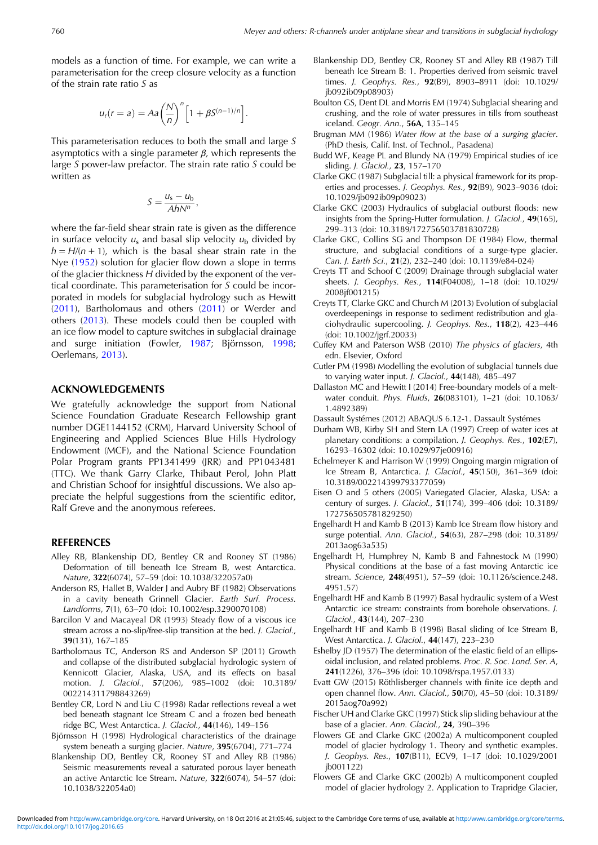<span id="page-10-0"></span>models as a function of time. For example, we can write a parameterisation for the creep closure velocity as a function of the strain rate ratio S as

$$
u_{r}(r=a)=Aa\bigg(\frac{N}{n}\bigg)^{n}\bigg[1+\beta S^{(n-1)/n}\bigg].
$$

This parameterisation reduces to both the small and large S asymptotics with a single parameter  $\beta$ , which represents the large  $S$  power-law prefactor. The strain rate ratio  $S$  could be written as

$$
S=\frac{u_s-u_b}{AhN^n},
$$

where the far-field shear strain rate is given as the difference in surface velocity  $u_s$  and basal slip velocity  $u_b$  divided by  $h = H/(n + 1)$ , which is the basal shear strain rate in the Nye ([1952\)](#page-11-0) solution for glacier flow down a slope in terms of the glacier thickness  $H$  divided by the exponent of the vertical coordinate. This parameterisation for S could be incorporated in models for subglacial hydrology such as Hewitt ([2011\)](#page-11-0), Bartholomaus and others (2011) or Werder and others ([2013\)](#page-12-0). These models could then be coupled with an ice flow model to capture switches in subglacial drainage and surge initiation (Fowler, [1987](#page-11-0); Björnsson, 1998; Oerlemans, [2013\)](#page-11-0).

## ACKNOWLEDGEMENTS

We gratefully acknowledge the support from National Science Foundation Graduate Research Fellowship grant number DGE1144152 (CRM), Harvard University School of Engineering and Applied Sciences Blue Hills Hydrology Endowment (MCF), and the National Science Foundation Polar Program grants PP1341499 (JRR) and PP1043481 (TTC). We thank Garry Clarke, Thibaut Perol, John Platt and Christian Schoof for insightful discussions. We also appreciate the helpful suggestions from the scientific editor, Ralf Greve and the anonymous referees.

#### REFERENCES

- Alley RB, Blankenship DD, Bentley CR and Rooney ST (1986) Deformation of till beneath Ice Stream B, west Antarctica. Nature, 322(6074), 57–59 (doi: 10.1038/322057a0)
- Anderson RS, Hallet B, Walder J and Aubry BF (1982) Observations in a cavity beneath Grinnell Glacier. Earth Surf. Process. Landforms, 7(1), 63–70 (doi: 10.1002/esp.3290070108)
- Barcilon V and Macayeal DR (1993) Steady flow of a viscous ice stream across a no-slip/free-slip transition at the bed. J. Glaciol., 39(131), 167–185
- Bartholomaus TC, Anderson RS and Anderson SP (2011) Growth and collapse of the distributed subglacial hydrologic system of Kennicott Glacier, Alaska, USA, and its effects on basal motion. J. Glaciol., 57(206), 985–1002 (doi: 10.3189/ 002214311798843269)
- Bentley CR, Lord N and Liu C (1998) Radar reflections reveal a wet bed beneath stagnant Ice Stream C and a frozen bed beneath ridge BC, West Antarctica. J. Glaciol., 44(146), 149–156
- Björnsson H (1998) Hydrological characteristics of the drainage system beneath a surging glacier. Nature, 395(6704), 771–774
- Blankenship DD, Bentley CR, Rooney ST and Alley RB (1986) Seismic measurements reveal a saturated porous layer beneath an active Antarctic Ice Stream. Nature, 322(6074), 54–57 (doi: 10.1038/322054a0)
- Blankenship DD, Bentley CR, Rooney ST and Alley RB (1987) Till beneath Ice Stream B: 1. Properties derived from seismic travel times. J. Geophys. Res., 92(B9), 8903–8911 (doi: 10.1029/ jb092ib09p08903)
- Boulton GS, Dent DL and Morris EM (1974) Subglacial shearing and crushing, and the role of water pressures in tills from southeast iceland. Geogr. Ann., 56A, 135–145
- Brugman MM (1986) Water flow at the base of a surging glacier. (PhD thesis, Calif. Inst. of Technol., Pasadena)
- Budd WF, Keage PL and Blundy NA (1979) Empirical studies of ice sliding. J. Glaciol., 23, 157–170
- Clarke GKC (1987) Subglacial till: a physical framework for its properties and processes. J. Geophys. Res., 92(B9), 9023–9036 (doi: 10.1029/jb092ib09p09023)
- Clarke GKC (2003) Hydraulics of subglacial outburst floods: new insights from the Spring-Hutter formulation. J. Glaciol., 49(165), 299–313 (doi: 10.3189/172756503781830728)
- Clarke GKC, Collins SG and Thompson DE (1984) Flow, thermal structure, and subglacial conditions of a surge-type glacier. Can. J. Earth Sci., 21(2), 232–240 (doi: 10.1139/e84-024)
- Creyts TT and Schoof C (2009) Drainage through subglacial water sheets. J. Geophys. Res., 114(F04008), 1–18 (doi: 10.1029/ 2008jf001215)
- Creyts TT, Clarke GKC and Church M (2013) Evolution of subglacial overdeepenings in response to sediment redistribution and glaciohydraulic supercooling. J. Geophys. Res., 118(2), 423–446 (doi: 10.1002/jgrf.20033)
- Cuffey KM and Paterson WSB (2010) The physics of glaciers, 4th edn. Elsevier, Oxford
- Cutler PM (1998) Modelling the evolution of subglacial tunnels due to varying water input. J. Glaciol., 44(148), 485–497
- Dallaston MC and Hewitt I (2014) Free-boundary models of a meltwater conduit. Phys. Fluids, 26(083101), 1–21 (doi: 10.1063/ 1.4892389)
- Dassault Systémes (2012) ABAQUS 6.12-1. Dassault Systémes
- Durham WB, Kirby SH and Stern LA (1997) Creep of water ices at planetary conditions: a compilation. J. Geophys. Res., 102(E7), 16293–16302 (doi: 10.1029/97je00916)
- Echelmeyer K and Harrison W (1999) Ongoing margin migration of Ice Stream B, Antarctica. J. Glaciol., 45(150), 361–369 (doi: 10.3189/002214399793377059)
- Eisen O and 5 others (2005) Variegated Glacier, Alaska, USA: a century of surges. J. Glaciol., 51(174), 399–406 (doi: 10.3189/ 172756505781829250)
- Engelhardt H and Kamb B (2013) Kamb Ice Stream flow history and surge potential. Ann. Glaciol., 54(63), 287–298 (doi: 10.3189/ 2013aog63a535)
- Engelhardt H, Humphrey N, Kamb B and Fahnestock M (1990) Physical conditions at the base of a fast moving Antarctic ice stream. Science, 248(4951), 57–59 (doi: 10.1126/science.248. 4951.57)
- Engelhardt HF and Kamb B (1997) Basal hydraulic system of a West Antarctic ice stream: constraints from borehole observations. J. Glaciol., 43(144), 207–230
- Engelhardt HF and Kamb B (1998) Basal sliding of Ice Stream B, West Antarctica. J. Glaciol., 44(147), 223–230
- Eshelby JD (1957) The determination of the elastic field of an ellipsoidal inclusion, and related problems. Proc. R. Soc. Lond. Ser. A, 241(1226), 376–396 (doi: 10.1098/rspa.1957.0133)
- Evatt GW (2015) Röthlisberger channels with finite ice depth and open channel flow. Ann. Glaciol., 50(70), 45–50 (doi: 10.3189/ 2015aog70a992)
- Fischer UH and Clarke GKC (1997) Stick slip sliding behaviour at the base of a glacier. Ann. Glaciol., 24, 390–396
- Flowers GE and Clarke GKC (2002a) A multicomponent coupled model of glacier hydrology 1. Theory and synthetic examples. J. Geophys. Res., 107(B11), ECV9, 1–17 (doi: 10.1029/2001 jb001122)
- Flowers GE and Clarke GKC (2002b) A multicomponent coupled model of glacier hydrology 2. Application to Trapridge Glacier,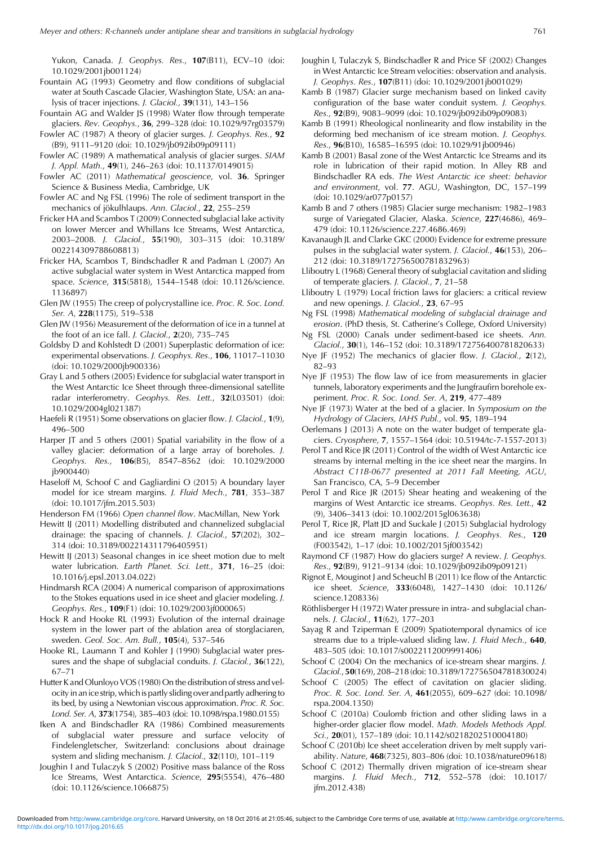<span id="page-11-0"></span>Yukon, Canada. J. Geophys. Res., 107(B11), ECV-10 (doi: 10.1029/2001jb001124)

- Fountain AG (1993) Geometry and flow conditions of subglacial water at South Cascade Glacier, Washington State, USA: an analysis of tracer injections. J. Glaciol., 39(131), 143–156
- Fountain AG and Walder JS (1998) Water flow through temperate glaciers. Rev. Geophys., 36, 299–328 (doi: 10.1029/97rg03579)
- Fowler AC (1987) A theory of glacier surges. J. Geophys. Res., 92 (B9), 9111–9120 (doi: 10.1029/jb092ib09p09111)
- Fowler AC (1989) A mathematical analysis of glacier surges. SIAM J. Appl. Math., 49(1), 246–263 (doi: 10.1137/0149015)
- Fowler AC (2011) Mathematical geoscience, vol. 36. Springer Science & Business Media, Cambridge, UK
- Fowler AC and Ng FSL (1996) The role of sediment transport in the mechanics of jökulhlaups. Ann. Glaciol., 22, 255–259
- Fricker HA and Scambos T (2009) Connected subglacial lake activity on lower Mercer and Whillans Ice Streams, West Antarctica, 2003–2008. J. Glaciol., 55(190), 303–315 (doi: 10.3189/ 002214309788608813)
- Fricker HA, Scambos T, Bindschadler R and Padman L (2007) An active subglacial water system in West Antarctica mapped from space. Science, 315(5818), 1544–1548 (doi: 10.1126/science. 1136897)
- Glen JW (1955) The creep of polycrystalline ice. Proc. R. Soc. Lond. Ser. A, 228(1175), 519-538
- Glen JW (1956) Measurement of the deformation of ice in a tunnel at the foot of an ice fall. J. Glaciol., 2(20), 735–745
- Goldsby D and Kohlstedt D (2001) Superplastic deformation of ice: experimental observations. J. Geophys. Res., 106, 11017-11030 (doi: 10.1029/2000jb900336)
- Gray L and 5 others (2005) Evidence for subglacial water transport in the West Antarctic Ice Sheet through three-dimensional satellite radar interferometry. Geophys. Res. Lett., 32(L03501) (doi: 10.1029/2004gl021387)
- Haefeli R (1951) Some observations on glacier flow. *J. Glaciol.*, **1**(9), 496–500
- Harper JT and 5 others (2001) Spatial variability in the flow of a valley glacier: deformation of a large array of boreholes. J. Geophys. Res., 106(B5), 8547–8562 (doi: 10.1029/2000 jb900440)
- Haseloff M, Schoof C and Gagliardini O (2015) A boundary layer model for ice stream margins. J. Fluid Mech., 781, 353–387 (doi: 10.1017/jfm.2015.503)

Henderson FM (1966) Open channel flow. MacMillan, New York

- Hewitt IJ (2011) Modelling distributed and channelized subglacial drainage: the spacing of channels. J. Glaciol., 57(202), 302– 314 (doi: 10.3189/002214311796405951)
- Hewitt IJ (2013) Seasonal changes in ice sheet motion due to melt water lubrication. Earth Planet. Sci. Lett., 371, 16-25 (doi: 10.1016/j.epsl.2013.04.022)
- Hindmarsh RCA (2004) A numerical comparison of approximations to the Stokes equations used in ice sheet and glacier modeling. J. Geophys. Res., 109(F1) (doi: 10.1029/2003jf000065)
- Hock R and Hooke RL (1993) Evolution of the internal drainage system in the lower part of the ablation area of storglaciaren, sweden. Geol. Soc. Am. Bull., 105(4), 537–546
- Hooke RL, Laumann T and Kohler J (1990) Subglacial water pressures and the shape of subglacial conduits. *J. Glaciol.*, 36(122), 67–71
- Hutter K and Olunloyo VOS (1980) On the distribution of stress and velocity in an ice strip, whichis partly sliding over and partly adhering to its bed, by using a Newtonian viscous approximation. Proc. R. Soc. Lond. Ser. A, 373(1754), 385–403 (doi: 10.1098/rspa.1980.0155)
- Iken A and Bindschadler RA (1986) Combined measurements of subglacial water pressure and surface velocity of Findelengletscher, Switzerland: conclusions about drainage system and sliding mechanism. J. Glaciol., 32(110), 101–119
- Joughin I and Tulaczyk S (2002) Positive mass balance of the Ross Ice Streams, West Antarctica. Science, 295(5554), 476–480 (doi: 10.1126/science.1066875)
- Joughin I, Tulaczyk S, Bindschadler R and Price SF (2002) Changes in West Antarctic Ice Stream velocities: observation and analysis. J. Geophys. Res., 107(B11) (doi: 10.1029/2001jb001029)
- Kamb B (1987) Glacier surge mechanism based on linked cavity configuration of the base water conduit system. J. Geophys. Res., 92(B9), 9083–9099 (doi: 10.1029/jb092ib09p09083)
- Kamb B (1991) Rheological nonlinearity and flow instability in the deforming bed mechanism of ice stream motion. J. Geophys. Res., 96(B10), 16585–16595 (doi: 10.1029/91jb00946)
- Kamb B (2001) Basal zone of the West Antarctic Ice Streams and its role in lubrication of their rapid motion. In Alley RB and Bindschadler RA eds. The West Antarctic ice sheet: behavior and environment, vol. 77. AGU, Washington, DC, 157–199 (doi: 10.1029/ar077p0157)
- Kamb B and 7 others (1985) Glacier surge mechanism: 1982–1983 surge of Variegated Glacier, Alaska. Science, 227(4686), 469– 479 (doi: 10.1126/science.227.4686.469)
- Kavanaugh JL and Clarke GKC (2000) Evidence for extreme pressure pulses in the subglacial water system. J. Glaciol., 46(153), 206– 212 (doi: 10.3189/172756500781832963)
- Lliboutry L (1968) General theory of subglacial cavitation and sliding of temperate glaciers. J. Glaciol., 7, 21–58
- Lliboutry L (1979) Local friction laws for glaciers: a critical review and new openings. J. Glaciol., 23, 67–95
- Ng FSL (1998) Mathematical modeling of subglacial drainage and erosion. (PhD thesis, St. Catherine's College, Oxford University)
- Ng FSL (2000) Canals under sediment-based ice sheets. Ann. Glaciol., 30(1), 146–152 (doi: 10.3189/172756400781820633)
- Nye JF (1952) The mechanics of glacier flow. J. Glaciol., 2(12), 82–93
- Nye JF (1953) The flow law of ice from measurements in glacier tunnels, laboratory experiments and the Jungfraufirn borehole experiment. Proc. R. Soc. Lond. Ser. A, 219, 477–489
- Nye JF (1973) Water at the bed of a glacier. In Symposium on the Hydrology of Glaciers, IAHS Publ., vol. 95, 189–194
- Oerlemans J (2013) A note on the water budget of temperate glaciers. Cryosphere, 7, 1557–1564 (doi: 10.5194/tc-7-1557-2013)
- Perol T and Rice JR (2011) Control of the width of West Antarctic ice streams by internal melting in the ice sheet near the margins. In Abstract C11B-0677 presented at 2011 Fall Meeting, AGU, San Francisco, CA, 5–9 December
- Perol T and Rice JR (2015) Shear heating and weakening of the margins of West Antarctic ice streams. Geophys. Res. Lett., 42 (9), 3406–3413 (doi: 10.1002/2015gl063638)
- Perol T, Rice JR, Platt JD and Suckale J (2015) Subglacial hydrology and ice stream margin locations. J. Geophys. Res., 120 (F003542), 1–17 (doi: 10.1002/2015jf003542)
- Raymond CF (1987) How do glaciers surge? A review. J. Geophys. Res., 92(B9), 9121–9134 (doi: 10.1029/jb092ib09p09121)
- Rignot E, Mouginot J and Scheuchl B (2011) Ice flow of the Antarctic ice sheet. Science, 333(6048), 1427–1430 (doi: 10.1126/ science.1208336)
- Röthlisberger H (1972) Water pressure in intra- and subglacial channels. J. Glaciol., 11(62), 177–203
- Sayag R and Tziperman E (2009) Spatiotemporal dynamics of ice streams due to a triple-valued sliding law. J. Fluid Mech., 640, 483–505 (doi: 10.1017/s0022112009991406)
- Schoof C (2004) On the mechanics of ice-stream shear margins. J. Glaciol., 50(169), 208–218 (doi: 10.3189/172756504781830024)
- Schoof C (2005) The effect of cavitation on glacier sliding. Proc. R. Soc. Lond. Ser. A, 461(2055), 609–627 (doi: 10.1098/ rspa.2004.1350)
- Schoof C (2010a) Coulomb friction and other sliding laws in a higher-order glacier flow model. Math. Models Methods Appl. Sci., 20(01), 157–189 (doi: 10.1142/s0218202510004180)
- Schoof C (2010b) Ice sheet acceleration driven by melt supply variability. Nature, 468(7325), 803–806 (doi: 10.1038/nature09618)
- Schoof C (2012) Thermally driven migration of ice-stream shear margins. J. Fluid Mech., 712, 552–578 (doi: 10.1017/ jfm.2012.438)